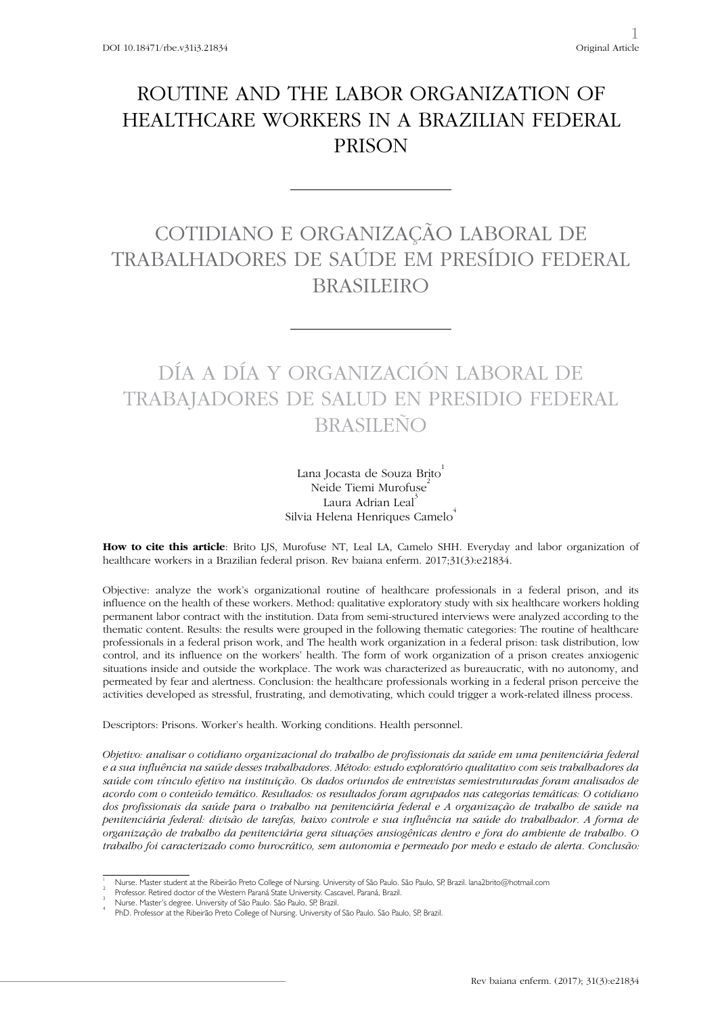## ROUTINE AND THE LABOR ORGANIZATION OF HEALTHCARE WORKERS IN A BRAZILIAN FEDERAL PRISON

# COTIDIANO E ORGANIZAÇÃO LABORAL DE TRABALHADORES DE SAÚDE EM PRESÍDIO FEDERAL BRASILEIRO

# DÍA A DÍA Y ORGANIZACIÓN LABORAL DE TRABAJADORES DE SALUD EN PRESIDIO FEDERAL BRASILEÑO

Lana Jocasta de Souza Brito Neide Tiemi Murofuse Laura Adrian Leal<sup>3</sup> Silvia Helena Henriques Camelo<sup>4</sup>

**How to cite this article**: Brito LJS, Murofuse NT, Leal LA, Camelo SHH. Everyday and labor organization of healthcare workers in a Brazilian federal prison. Rev baiana enferm. 2017;31(3):e21834.

Objective: analyze the work's organizational routine of healthcare professionals in a federal prison, and its influence on the health of these workers. Method: qualitative exploratory study with six healthcare workers holding permanent labor contract with the institution. Data from semi-structured interviews were analyzed according to the thematic content. Results: the results were grouped in the following thematic categories: The routine of healthcare professionals in a federal prison work, and The health work organization in a federal prison: task distribution, low control, and its influence on the workers' health. The form of work organization of a prison creates anxiogenic situations inside and outside the workplace. The work was characterized as bureaucratic, with no autonomy, and permeated by fear and alertness. Conclusion: the healthcare professionals working in a federal prison perceive the activities developed as stressful, frustrating, and demotivating, which could trigger a work-related illness process.

Descriptors: Prisons. Worker's health. Working conditions. Health personnel.

*Objetivo: analisar o cotidiano organizacional do trabalho de profissionais da saúde em uma penitenciária federal e a sua influência na saúde desses trabalhadores. Método: estudo exploratório qualitativo com seis trabalhadores da saúde com vínculo efetivo na instituição. Os dados oriundos de entrevistas semiestruturadas foram analisados de acordo com o conteúdo temático. Resultados: os resultados foram agrupados nas categorias temáticas: O cotidiano dos profissionais da saúde para o trabalho na penitenciária federal e A organização de trabalho de saúde na penitenciária federal: divisão de tarefas, baixo controle e sua influência na saúde do trabalhador. A forma de organização de trabalho da penitenciária gera situações ansiogênicas dentro e fora do ambiente de trabalho. O trabalho foi caracterizado como burocrático, sem autonomia e permeado por medo e estado de alerta. Conclusão:* 

<sup>1</sup> Nurse. Master student at the Ribeirão Preto College of Nursing. University of São Paulo. São Paulo, SP, Brazil. lana2brito@hotmail.com <sup>2</sup>

Professor. Retired doctor of the Western Paraná State University. Cascavel, Paraná, Brazil.

Nurse. Master's degree. University of São Paulo. São Paulo, SP, Brazil. 4

PhD. Professor at the Ribeirão Preto College of Nursing. University of São Paulo. São Paulo, SP, Brazil.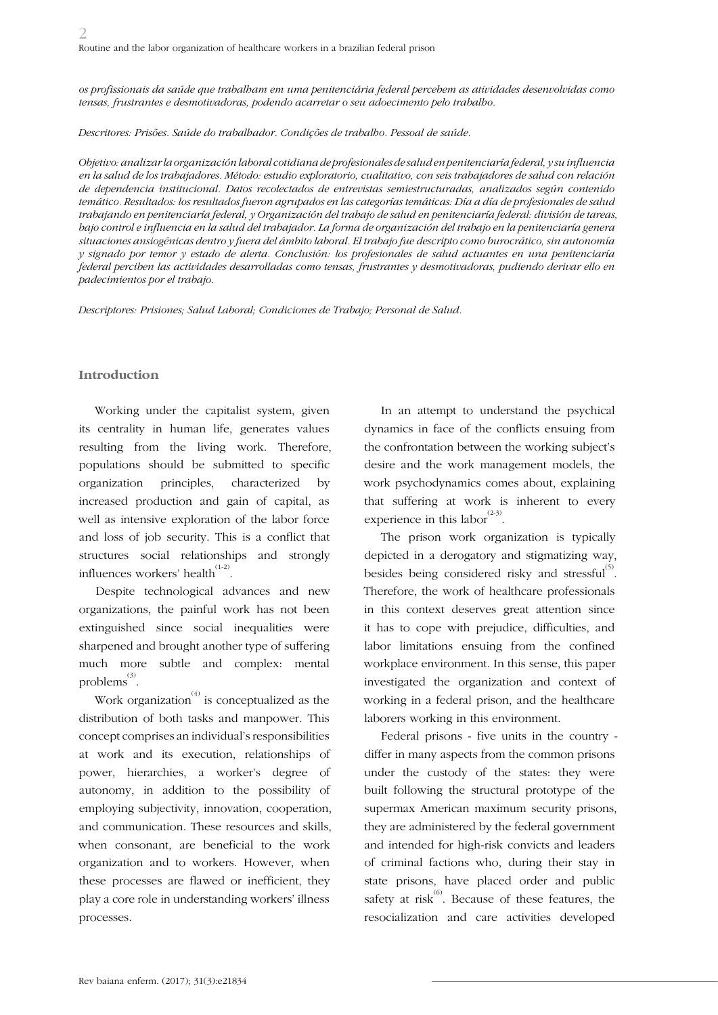*os profissionais da saúde que trabalham em uma penitenciária federal percebem as atividades desenvolvidas como tensas, frustrantes e desmotivadoras, podendo acarretar o seu adoecimento pelo trabalho.*

*Descritores: Prisões. Saúde do trabalhador. Condições de trabalho. Pessoal de saúde.*

*Objetivo: analizar la organización laboral cotidiana de profesionales de salud en penitenciaría federal, y su influencia en la salud de los trabajadores. Método: estudio exploratorio, cualitativo, con seis trabajadores de salud con relación de dependencia institucional. Datos recolectados de entrevistas semiestructuradas, analizados según contenido temático. Resultados: los resultados fueron agrupados en las categorías temáticas: Día a día de profesionales de salud trabajando en penitenciaría federal, y Organización del trabajo de salud en penitenciaría federal: división de tareas, bajo control e influencia en la salud del trabajador. La forma de organización del trabajo en la penitenciaría genera situaciones ansiogénicas dentro y fuera del ámbito laboral. El trabajo fue descripto como burocrático, sin autonomía y signado por temor y estado de alerta. Conclusión: los profesionales de salud actuantes en una penitenciaría federal perciben las actividades desarrolladas como tensas, frustrantes y desmotivadoras, pudiendo derivar ello en padecimientos por el trabajo.* 

*Descriptores: Prisiones; Salud Laboral; Condiciones de Trabajo; Personal de Salud.* 

## **Introduction**

Working under the capitalist system, given its centrality in human life, generates values resulting from the living work. Therefore, populations should be submitted to specific organization principles, characterized by increased production and gain of capital, as well as intensive exploration of the labor force and loss of job security. This is a conflict that structures social relationships and strongly influences workers' health $^{(1\text{-}2)}.$ 

Despite technological advances and new organizations, the painful work has not been extinguished since social inequalities were sharpened and brought another type of suffering much more subtle and complex: mental problems $\overset{(3)}{\ldots}$ 

Work organization<sup> $(4)$ </sup> is conceptualized as the distribution of both tasks and manpower. This concept comprises an individual's responsibilities at work and its execution, relationships of power, hierarchies, a worker's degree of autonomy, in addition to the possibility of employing subjectivity, innovation, cooperation, and communication. These resources and skills, when consonant, are beneficial to the work organization and to workers. However, when these processes are flawed or inefficient, they play a core role in understanding workers' illness processes.

In an attempt to understand the psychical dynamics in face of the conflicts ensuing from the confrontation between the working subject's desire and the work management models, the work psychodynamics comes about, explaining that suffering at work is inherent to every experience in this labor<sup>(2-3)</sup>.

The prison work organization is typically depicted in a derogatory and stigmatizing way, besides being considered risky and stressful $^{(5)}$ . Therefore, the work of healthcare professionals in this context deserves great attention since it has to cope with prejudice, difficulties, and labor limitations ensuing from the confined workplace environment. In this sense, this paper investigated the organization and context of working in a federal prison, and the healthcare laborers working in this environment.

Federal prisons - five units in the country differ in many aspects from the common prisons under the custody of the states: they were built following the structural prototype of the supermax American maximum security prisons, they are administered by the federal government and intended for high-risk convicts and leaders of criminal factions who, during their stay in state prisons, have placed order and public safety at risk<sup> $(6)$ </sup>. Because of these features, the resocialization and care activities developed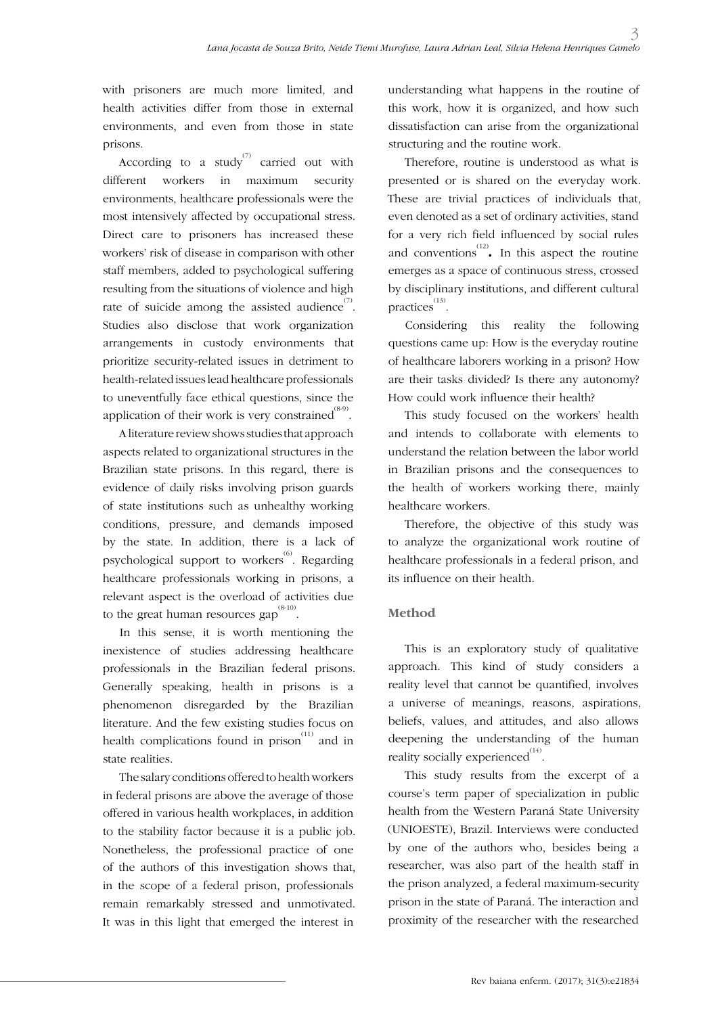with prisoners are much more limited, and health activities differ from those in external environments, and even from those in state prisons.

According to a study carried out with different workers in maximum security environments, healthcare professionals were the most intensively affected by occupational stress. Direct care to prisoners has increased these workers' risk of disease in comparison with other staff members, added to psychological suffering resulting from the situations of violence and high rate of suicide among the assisted audience<sup>(7)</sup>. Studies also disclose that work organization arrangements in custody environments that prioritize security-related issues in detriment to health-related issues lead healthcare professionals to uneventfully face ethical questions, since the application of their work is very constrained  $^{\text{\tiny{(8-9)}}}.$ 

A literature review shows studies that approach aspects related to organizational structures in the Brazilian state prisons. In this regard, there is evidence of daily risks involving prison guards of state institutions such as unhealthy working conditions, pressure, and demands imposed by the state. In addition, there is a lack of psychological support to workers<sup>(6)</sup>. Regarding healthcare professionals working in prisons, a relevant aspect is the overload of activities due to the great human resources gap  $^{(8\text{-}10)}.$ 

In this sense, it is worth mentioning the inexistence of studies addressing healthcare professionals in the Brazilian federal prisons. Generally speaking, health in prisons is a phenomenon disregarded by the Brazilian literature. And the few existing studies focus on health complications found in prison<sup> $(11)$ </sup> and in state realities.

The salary conditions offered to health workers in federal prisons are above the average of those offered in various health workplaces, in addition to the stability factor because it is a public job. Nonetheless, the professional practice of one of the authors of this investigation shows that, in the scope of a federal prison, professionals remain remarkably stressed and unmotivated. It was in this light that emerged the interest in

understanding what happens in the routine of this work, how it is organized, and how such dissatisfaction can arise from the organizational structuring and the routine work.

Therefore, routine is understood as what is presented or is shared on the everyday work. These are trivial practices of individuals that, even denoted as a set of ordinary activities, stand for a very rich field influenced by social rules and conventions<sup> $(12)$ </sup>. In this aspect the routine emerges as a space of continuous stress, crossed by disciplinary institutions, and different cultural practices<sup>(13)</sup>.

Considering this reality the following questions came up: How is the everyday routine of healthcare laborers working in a prison? How are their tasks divided? Is there any autonomy? How could work influence their health?

This study focused on the workers' health and intends to collaborate with elements to understand the relation between the labor world in Brazilian prisons and the consequences to the health of workers working there, mainly healthcare workers.

Therefore, the objective of this study was to analyze the organizational work routine of healthcare professionals in a federal prison, and its influence on their health.

## **Method**

This is an exploratory study of qualitative approach. This kind of study considers a reality level that cannot be quantified, involves a universe of meanings, reasons, aspirations, beliefs, values, and attitudes, and also allows deepening the understanding of the human reality socially experienced $^{(14)}$ .

This study results from the excerpt of a course's term paper of specialization in public health from the Western Paraná State University (UNIOESTE), Brazil. Interviews were conducted by one of the authors who, besides being a researcher, was also part of the health staff in the prison analyzed, a federal maximum-security prison in the state of Paraná. The interaction and proximity of the researcher with the researched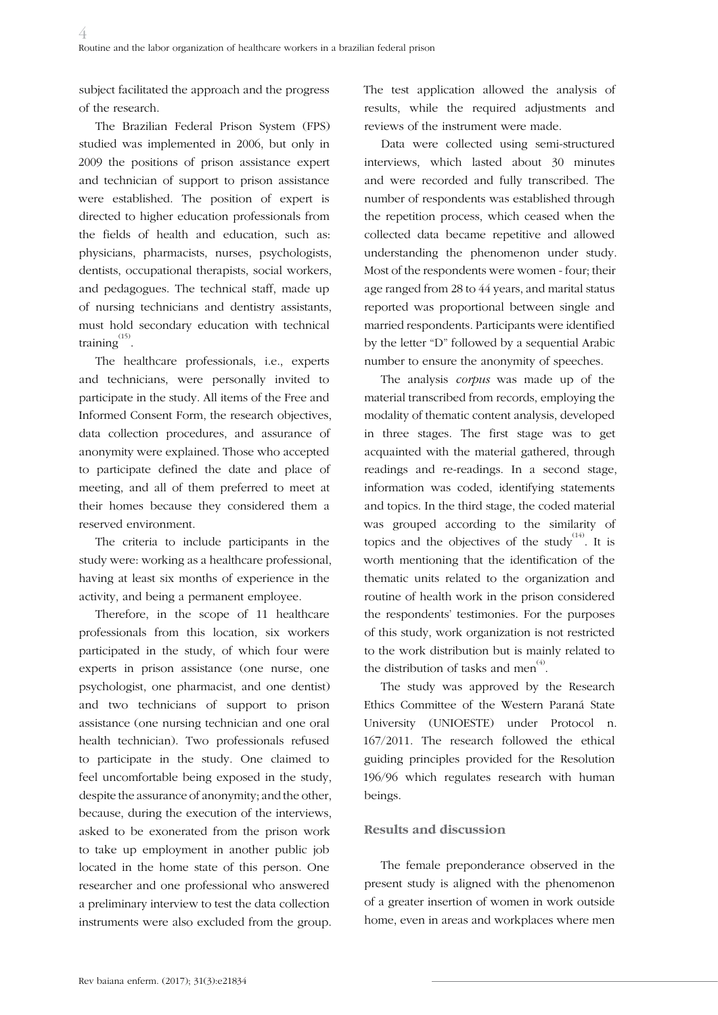subject facilitated the approach and the progress of the research.

The Brazilian Federal Prison System (FPS) studied was implemented in 2006, but only in 2009 the positions of prison assistance expert and technician of support to prison assistance were established. The position of expert is directed to higher education professionals from the fields of health and education, such as: physicians, pharmacists, nurses, psychologists, dentists, occupational therapists, social workers, and pedagogues. The technical staff, made up of nursing technicians and dentistry assistants, must hold secondary education with technical training<sup>(15)</sup>.

The healthcare professionals, i.e., experts and technicians, were personally invited to participate in the study. All items of the Free and Informed Consent Form, the research objectives, data collection procedures, and assurance of anonymity were explained. Those who accepted to participate defined the date and place of meeting, and all of them preferred to meet at their homes because they considered them a reserved environment.

The criteria to include participants in the study were: working as a healthcare professional, having at least six months of experience in the activity, and being a permanent employee.

Therefore, in the scope of 11 healthcare professionals from this location, six workers participated in the study, of which four were experts in prison assistance (one nurse, one psychologist, one pharmacist, and one dentist) and two technicians of support to prison assistance (one nursing technician and one oral health technician). Two professionals refused to participate in the study. One claimed to feel uncomfortable being exposed in the study, despite the assurance of anonymity; and the other, because, during the execution of the interviews, asked to be exonerated from the prison work to take up employment in another public job located in the home state of this person. One researcher and one professional who answered a preliminary interview to test the data collection instruments were also excluded from the group. The test application allowed the analysis of results, while the required adjustments and reviews of the instrument were made.

Data were collected using semi-structured interviews, which lasted about 30 minutes and were recorded and fully transcribed. The number of respondents was established through the repetition process, which ceased when the collected data became repetitive and allowed understanding the phenomenon under study. Most of the respondents were women - four; their age ranged from 28 to 44 years, and marital status reported was proportional between single and married respondents. Participants were identified by the letter "D" followed by a sequential Arabic number to ensure the anonymity of speeches.

The analysis *corpus* was made up of the material transcribed from records, employing the modality of thematic content analysis, developed in three stages. The first stage was to get acquainted with the material gathered, through readings and re-readings. In a second stage, information was coded, identifying statements and topics. In the third stage, the coded material was grouped according to the similarity of topics and the objectives of the study  $(14)$ . It is worth mentioning that the identification of the thematic units related to the organization and routine of health work in the prison considered the respondents' testimonies. For the purposes of this study, work organization is not restricted to the work distribution but is mainly related to the distribution of tasks and men<sup>(4)</sup>.

The study was approved by the Research Ethics Committee of the Western Paraná State University (UNIOESTE) under Protocol n. 167/2011. The research followed the ethical guiding principles provided for the Resolution 196/96 which regulates research with human beings.

## **Results and discussion**

The female preponderance observed in the present study is aligned with the phenomenon of a greater insertion of women in work outside home, even in areas and workplaces where men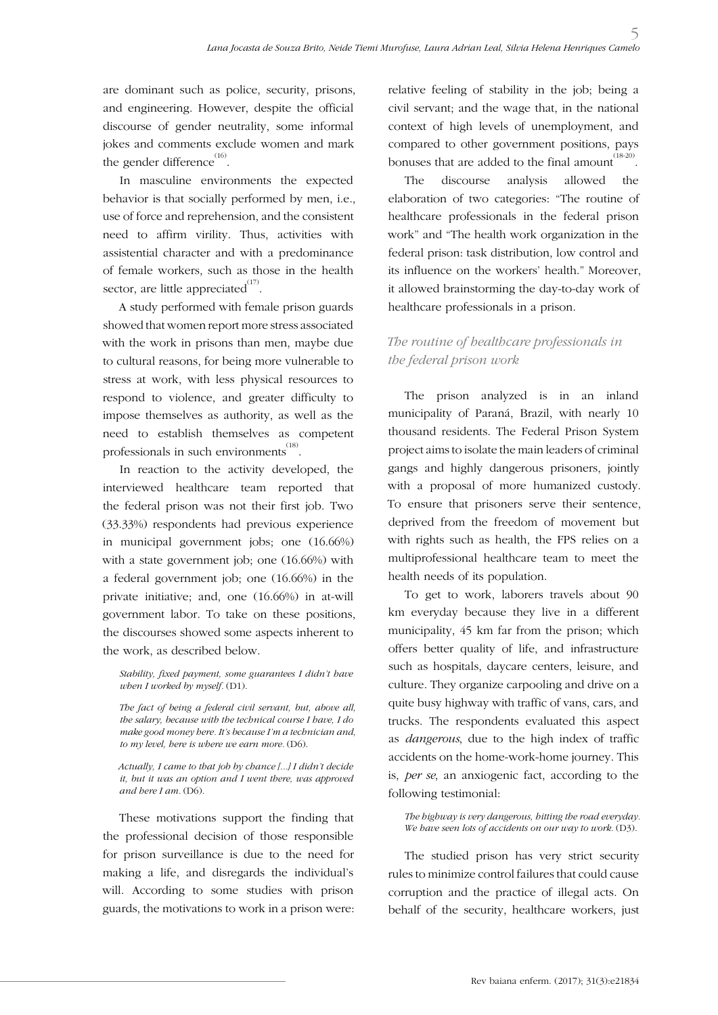are dominant such as police, security, prisons, and engineering. However, despite the official discourse of gender neutrality, some informal jokes and comments exclude women and mark the gender difference $^{(16)}$ .

In masculine environments the expected behavior is that socially performed by men, i.e., use of force and reprehension, and the consistent need to affirm virility. Thus, activities with assistential character and with a predominance of female workers, such as those in the health sector, are little appreciated $^{(17)}$ .

A study performed with female prison guards showed that women report more stress associated with the work in prisons than men, maybe due to cultural reasons, for being more vulnerable to stress at work, with less physical resources to respond to violence, and greater difficulty to impose themselves as authority, as well as the need to establish themselves as competent professionals in such environments  $^{(18)}$ .

In reaction to the activity developed, the interviewed healthcare team reported that the federal prison was not their first job. Two (33.33%) respondents had previous experience in municipal government jobs; one (16.66%) with a state government job; one (16.66%) with a federal government job; one (16.66%) in the private initiative; and, one (16.66%) in at-will government labor. To take on these positions, the discourses showed some aspects inherent to the work, as described below.

*Stability, fixed payment, some guarantees I didn't have when I worked by myself.* (D1).

*The fact of being a federal civil servant, but, above all, the salary, because with the technical course I have, I do make good money here. It's because I'm a technician and, to my level, here is where we earn more.* (D6).

*Actually, I came to that job by chance [...] I didn't decide it, but it was an option and I went there, was approved and here I am.* (D6).

These motivations support the finding that the professional decision of those responsible for prison surveillance is due to the need for making a life, and disregards the individual's will. According to some studies with prison guards, the motivations to work in a prison were: relative feeling of stability in the job; being a civil servant; and the wage that, in the national context of high levels of unemployment, and compared to other government positions, pays bonuses that are added to the final amount  $^{(18-20)}$ .

The discourse analysis allowed the elaboration of two categories: "The routine of healthcare professionals in the federal prison work" and "The health work organization in the federal prison: task distribution, low control and its influence on the workers' health." Moreover, it allowed brainstorming the day-to-day work of healthcare professionals in a prison.

## *The routine of healthcare professionals in the federal prison work*

The prison analyzed is in an inland municipality of Paraná, Brazil, with nearly 10 thousand residents. The Federal Prison System project aims to isolate the main leaders of criminal gangs and highly dangerous prisoners, jointly with a proposal of more humanized custody. To ensure that prisoners serve their sentence, deprived from the freedom of movement but with rights such as health, the FPS relies on a multiprofessional healthcare team to meet the health needs of its population.

To get to work, laborers travels about 90 km everyday because they live in a different municipality, 45 km far from the prison; which offers better quality of life, and infrastructure such as hospitals, daycare centers, leisure, and culture. They organize carpooling and drive on a quite busy highway with traffic of vans, cars, and trucks. The respondents evaluated this aspect as *dangerous*, due to the high index of traffic accidents on the home-work-home journey. This is, *per se*, an anxiogenic fact, according to the following testimonial:

*The highway is very dangerous, hitting the road everyday.*  We have seen lots of accidents on our way to work. (D3).

The studied prison has very strict security rules to minimize control failures that could cause corruption and the practice of illegal acts. On behalf of the security, healthcare workers, just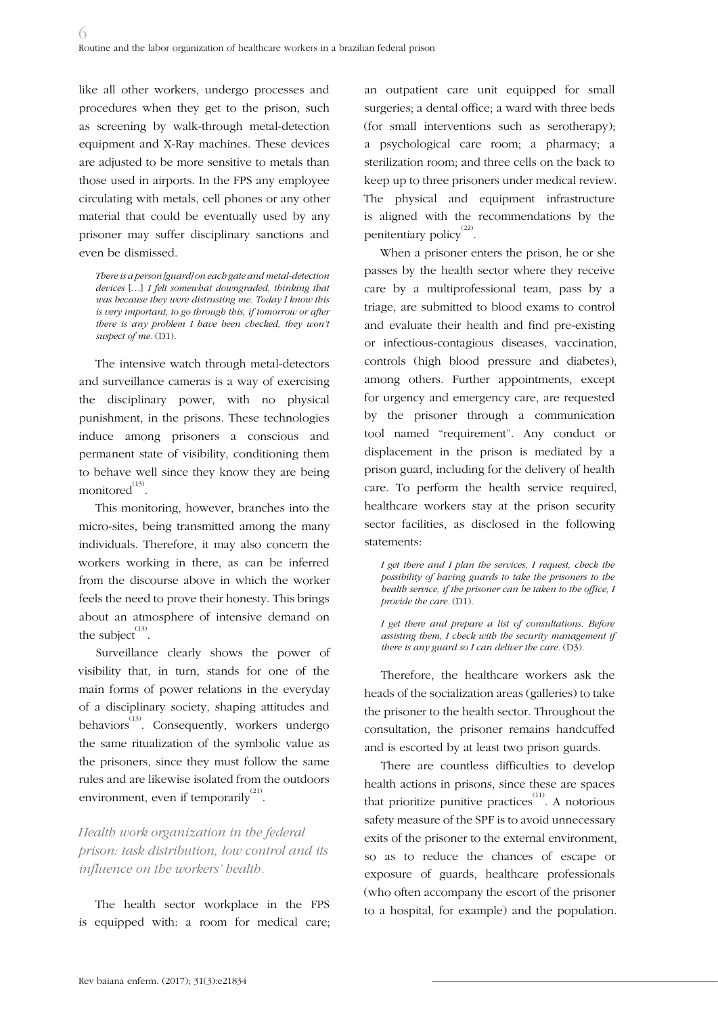like all other workers, undergo processes and procedures when they get to the prison, such as screening by walk-through metal-detection equipment and X-Ray machines. These devices are adjusted to be more sensitive to metals than those used in airports. In the FPS any employee circulating with metals, cell phones or any other material that could be eventually used by any prisoner may suffer disciplinary sanctions and even be dismissed.

*There is a person [guard] on each gate and metal-detection devices* […] *I felt somewhat downgraded, thinking that was because they were distrusting me. Today I know this is very important, to go through this, if tomorrow or after there is any problem I have been checked, they won't*  suspect of me. (D1).

The intensive watch through metal-detectors and surveillance cameras is a way of exercising the disciplinary power, with no physical punishment, in the prisons. These technologies induce among prisoners a conscious and permanent state of visibility, conditioning them to behave well since they know they are being monitored $^{(13)}$ .

This monitoring, however, branches into the micro-sites, being transmitted among the many individuals. Therefore, it may also concern the workers working in there, as can be inferred from the discourse above in which the worker feels the need to prove their honesty. This brings about an atmosphere of intensive demand on the subject $^{(13)}$ .

Surveillance clearly shows the power of visibility that, in turn, stands for one of the main forms of power relations in the everyday of a disciplinary society, shaping attitudes and behaviors<sup>(13)</sup>. Consequently, workers undergo the same ritualization of the symbolic value as the prisoners, since they must follow the same rules and are likewise isolated from the outdoors environment, even if temporarily<sup>(21)</sup>.

*Health work organization in the federal prison: task distribution, low control and its influence on the workers' health.*

The health sector workplace in the FPS is equipped with: a room for medical care;

an outpatient care unit equipped for small surgeries; a dental office; a ward with three beds (for small interventions such as serotherapy); a psychological care room; a pharmacy; a sterilization room; and three cells on the back to keep up to three prisoners under medical review. The physical and equipment infrastructure is aligned with the recommendations by the penitentiary policy<sup>(22)</sup>.

When a prisoner enters the prison, he or she passes by the health sector where they receive care by a multiprofessional team, pass by a triage, are submitted to blood exams to control and evaluate their health and find pre-existing or infectious-contagious diseases, vaccination, controls (high blood pressure and diabetes), among others. Further appointments, except for urgency and emergency care, are requested by the prisoner through a communication tool named "requirement". Any conduct or displacement in the prison is mediated by a prison guard, including for the delivery of health care. To perform the health service required, healthcare workers stay at the prison security sector facilities, as disclosed in the following statements:

*I get there and I plan the services, I request, check the possibility of having guards to take the prisoners to the health service, if the prisoner can be taken to the office, I provide the care.* (D1).

*I get there and prepare a list of consultations. Before assisting them, I check with the security management if there is any guard so I can deliver the care.* (D3).

Therefore, the healthcare workers ask the heads of the socialization areas (galleries) to take the prisoner to the health sector. Throughout the consultation, the prisoner remains handcuffed and is escorted by at least two prison guards.

There are countless difficulties to develop health actions in prisons, since these are spaces that prioritize punitive practices $\overset{(11)}{ }$ . A notorious safety measure of the SPF is to avoid unnecessary exits of the prisoner to the external environment, so as to reduce the chances of escape or exposure of guards, healthcare professionals (who often accompany the escort of the prisoner to a hospital, for example) and the population.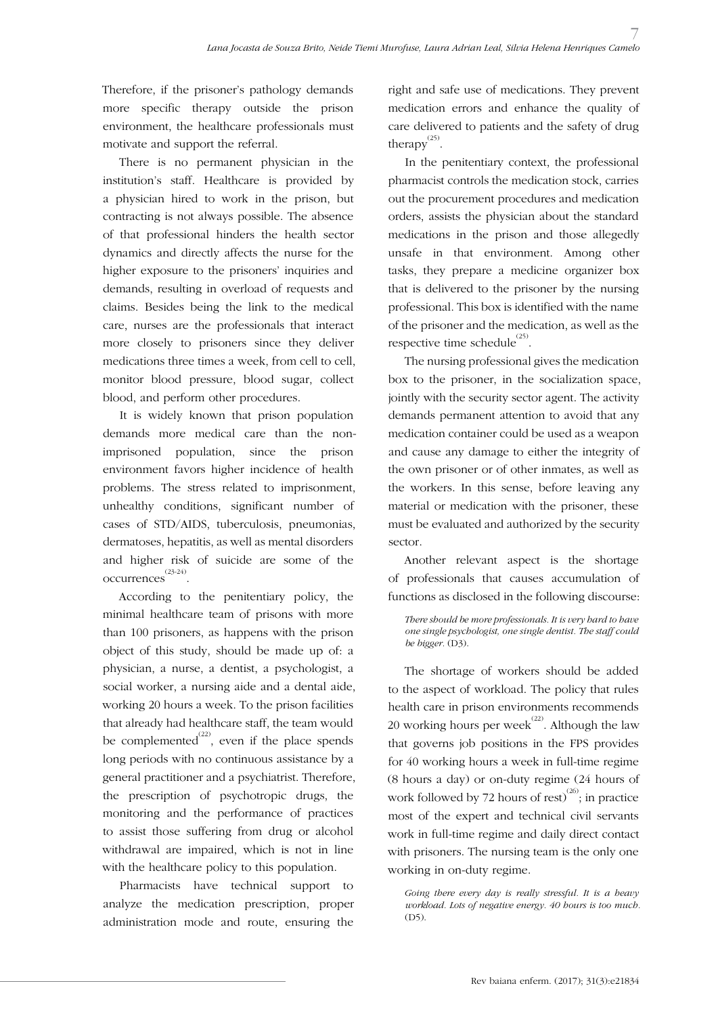Therefore, if the prisoner's pathology demands more specific therapy outside the prison environment, the healthcare professionals must motivate and support the referral.

There is no permanent physician in the institution's staff. Healthcare is provided by a physician hired to work in the prison, but contracting is not always possible. The absence of that professional hinders the health sector dynamics and directly affects the nurse for the higher exposure to the prisoners' inquiries and demands, resulting in overload of requests and claims. Besides being the link to the medical care, nurses are the professionals that interact more closely to prisoners since they deliver medications three times a week, from cell to cell, monitor blood pressure, blood sugar, collect blood, and perform other procedures.

It is widely known that prison population demands more medical care than the nonimprisoned population, since the prison environment favors higher incidence of health problems. The stress related to imprisonment, unhealthy conditions, significant number of cases of STD/AIDS, tuberculosis, pneumonias, dermatoses, hepatitis, as well as mental disorders and higher risk of suicide are some of the occurrences (23-24) .

According to the penitentiary policy, the minimal healthcare team of prisons with more than 100 prisoners, as happens with the prison object of this study, should be made up of: a physician, a nurse, a dentist, a psychologist, a social worker, a nursing aide and a dental aide, working 20 hours a week. To the prison facilities that already had healthcare staff, the team would be complemented $^{(22)}$ , even if the place spends long periods with no continuous assistance by a general practitioner and a psychiatrist. Therefore, the prescription of psychotropic drugs, the monitoring and the performance of practices to assist those suffering from drug or alcohol withdrawal are impaired, which is not in line with the healthcare policy to this population.

Pharmacists have technical support to analyze the medication prescription, proper administration mode and route, ensuring the right and safe use of medications. They prevent medication errors and enhance the quality of care delivered to patients and the safety of drug therapy $^{(25)}$ .

In the penitentiary context, the professional pharmacist controls the medication stock, carries out the procurement procedures and medication orders, assists the physician about the standard medications in the prison and those allegedly unsafe in that environment. Among other tasks, they prepare a medicine organizer box that is delivered to the prisoner by the nursing professional. This box is identified with the name of the prisoner and the medication, as well as the respective time schedule $^{(25)}$ .

The nursing professional gives the medication box to the prisoner, in the socialization space, jointly with the security sector agent. The activity demands permanent attention to avoid that any medication container could be used as a weapon and cause any damage to either the integrity of the own prisoner or of other inmates, as well as the workers. In this sense, before leaving any material or medication with the prisoner, these must be evaluated and authorized by the security sector.

Another relevant aspect is the shortage of professionals that causes accumulation of functions as disclosed in the following discourse:

*There should be more professionals. It is very hard to have one single psychologist, one single dentist. The staff could be bigger.* (D3).

The shortage of workers should be added to the aspect of workload. The policy that rules health care in prison environments recommends 20 working hours per week<sup>(22)</sup>. Although the law that governs job positions in the FPS provides for 40 working hours a week in full-time regime (8 hours a day) or on-duty regime (24 hours of work followed by 72 hours of rest)<sup>(26)</sup>; in practice most of the expert and technical civil servants work in full-time regime and daily direct contact with prisoners. The nursing team is the only one working in on-duty regime.

*Going there every day is really stressful. It is a heavy workload. Lots of negative energy. 40 hours is too much.*   $(D5)$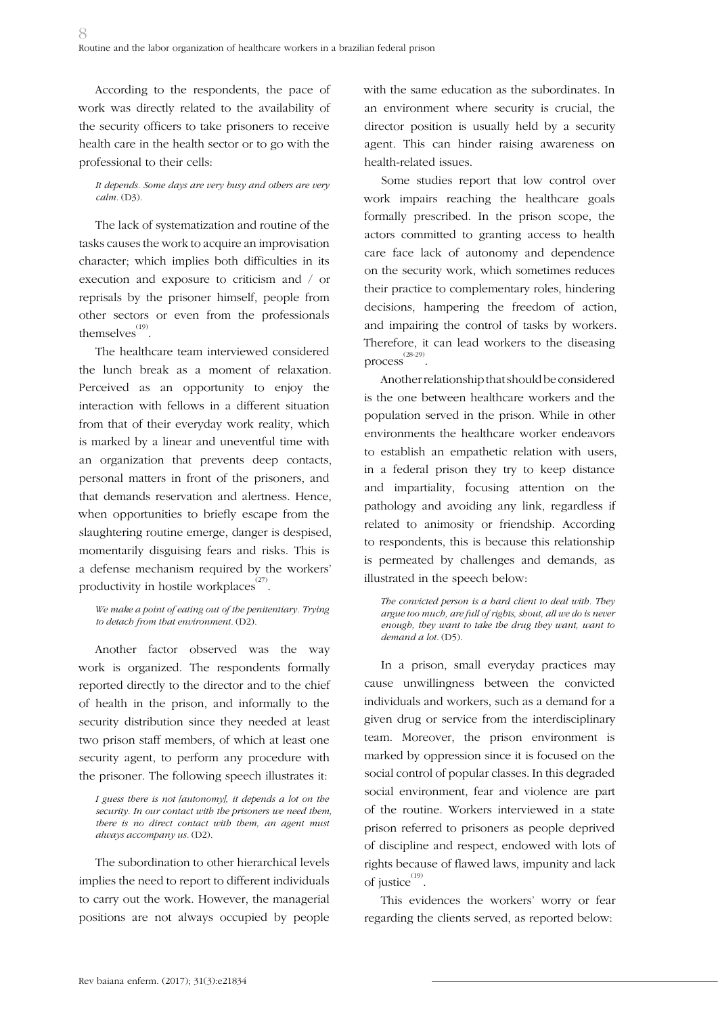According to the respondents, the pace of work was directly related to the availability of the security officers to take prisoners to receive health care in the health sector or to go with the professional to their cells:

### *It depends. Some days are very busy and others are very calm.* (D3).

The lack of systematization and routine of the tasks causes the work to acquire an improvisation character; which implies both difficulties in its execution and exposure to criticism and / or reprisals by the prisoner himself, people from other sectors or even from the professionals themselves $^{(19)}$ .

The healthcare team interviewed considered the lunch break as a moment of relaxation. Perceived as an opportunity to enjoy the interaction with fellows in a different situation from that of their everyday work reality, which is marked by a linear and uneventful time with an organization that prevents deep contacts, personal matters in front of the prisoners, and that demands reservation and alertness. Hence, when opportunities to briefly escape from the slaughtering routine emerge, danger is despised, momentarily disguising fears and risks. This is a defense mechanism required by the workers' productivity in hostile workplaces $^{(27)}$ .

*We make a point of eating out of the penitentiary. Trying to detach from that environment.* (D2).

Another factor observed was the way work is organized. The respondents formally reported directly to the director and to the chief of health in the prison, and informally to the security distribution since they needed at least two prison staff members, of which at least one security agent, to perform any procedure with the prisoner. The following speech illustrates it:

*I guess there is not [autonomy], it depends a lot on the security. In our contact with the prisoners we need them, there is no direct contact with them, an agent must always accompany us.* (D2).

The subordination to other hierarchical levels implies the need to report to different individuals to carry out the work. However, the managerial positions are not always occupied by people

with the same education as the subordinates. In an environment where security is crucial, the director position is usually held by a security agent. This can hinder raising awareness on health-related issues.

Some studies report that low control over work impairs reaching the healthcare goals formally prescribed. In the prison scope, the actors committed to granting access to health care face lack of autonomy and dependence on the security work, which sometimes reduces their practice to complementary roles, hindering decisions, hampering the freedom of action, and impairing the control of tasks by workers. Therefore, it can lead workers to the diseasing process (28-29) .

Another relationship that should be considered is the one between healthcare workers and the population served in the prison. While in other environments the healthcare worker endeavors to establish an empathetic relation with users, in a federal prison they try to keep distance and impartiality, focusing attention on the pathology and avoiding any link, regardless if related to animosity or friendship. According to respondents, this is because this relationship is permeated by challenges and demands, as illustrated in the speech below:

*The convicted person is a hard client to deal with. They argue too much, are full of rights, shout, all we do is never enough, they want to take the drug they want, want to demand a lot.* (D5).

In a prison, small everyday practices may cause unwillingness between the convicted individuals and workers, such as a demand for a given drug or service from the interdisciplinary team. Moreover, the prison environment is marked by oppression since it is focused on the social control of popular classes. In this degraded social environment, fear and violence are part of the routine. Workers interviewed in a state prison referred to prisoners as people deprived of discipline and respect, endowed with lots of rights because of flawed laws, impunity and lack of justice<sup>(19)</sup>.

This evidences the workers' worry or fear regarding the clients served, as reported below: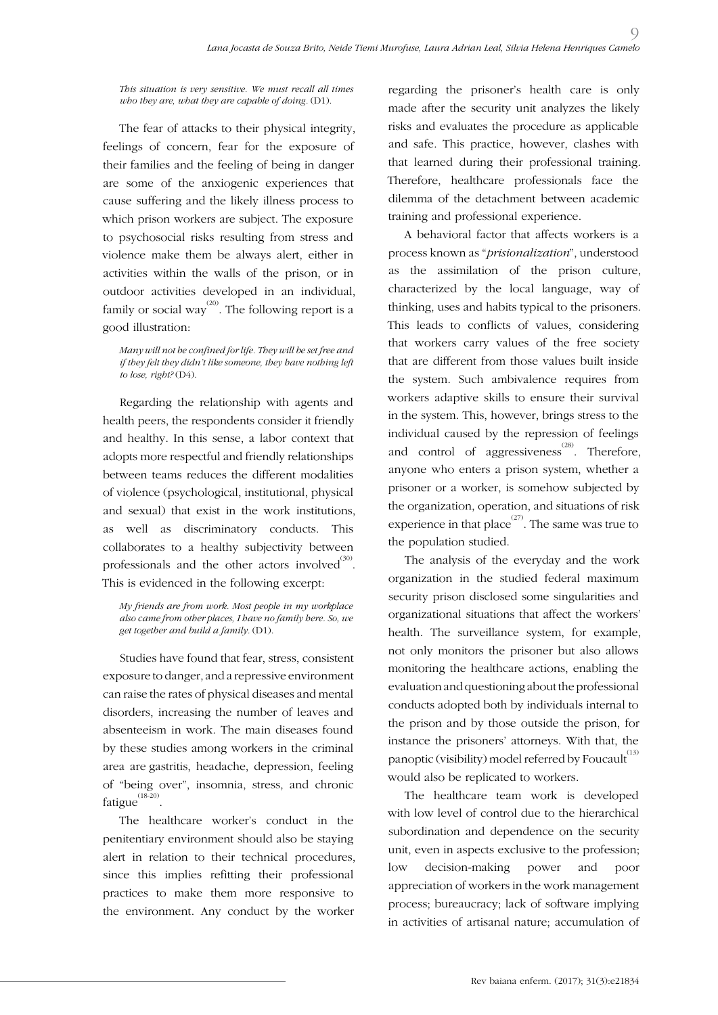*This situation is very sensitive. We must recall all times who they are, what they are capable of doing.* (D1).

The fear of attacks to their physical integrity, feelings of concern, fear for the exposure of their families and the feeling of being in danger are some of the anxiogenic experiences that cause suffering and the likely illness process to which prison workers are subject. The exposure to psychosocial risks resulting from stress and violence make them be always alert, either in activities within the walls of the prison, or in outdoor activities developed in an individual, family or social way<sup>(20)</sup>. The following report is a good illustration:

*Many will not be confined for life. They will be set free and if they felt they didn't like someone, they have nothing left to lose, right?* (D4).

Regarding the relationship with agents and health peers, the respondents consider it friendly and healthy. In this sense, a labor context that adopts more respectful and friendly relationships between teams reduces the different modalities of violence (psychological, institutional, physical and sexual) that exist in the work institutions, as well as discriminatory conducts. This collaborates to a healthy subjectivity between professionals and the other actors involved $^{(30)}$ . This is evidenced in the following excerpt:

*My friends are from work. Most people in my workplace also came from other places, I have no family here. So, we get together and build a family.* (D1).

Studies have found that fear, stress, consistent exposure to danger, and a repressive environment can raise the rates of physical diseases and mental disorders, increasing the number of leaves and absenteeism in work. The main diseases found by these studies among workers in the criminal area are gastritis, headache, depression, feeling of "being over", insomnia, stress, and chronic fatigue(18-20) .

The healthcare worker's conduct in the penitentiary environment should also be staying alert in relation to their technical procedures, since this implies refitting their professional practices to make them more responsive to the environment. Any conduct by the worker

regarding the prisoner's health care is only made after the security unit analyzes the likely risks and evaluates the procedure as applicable and safe. This practice, however, clashes with that learned during their professional training. Therefore, healthcare professionals face the dilemma of the detachment between academic training and professional experience.

 $\Omega$ 

A behavioral factor that affects workers is a process known as "*prisionalization*", understood as the assimilation of the prison culture, characterized by the local language, way of thinking, uses and habits typical to the prisoners. This leads to conflicts of values, considering that workers carry values of the free society that are different from those values built inside the system. Such ambivalence requires from workers adaptive skills to ensure their survival in the system. This, however, brings stress to the individual caused by the repression of feelings and control of aggressiveness<sup> $(28)$ </sup>. Therefore, anyone who enters a prison system, whether a prisoner or a worker, is somehow subjected by the organization, operation, and situations of risk experience in that place  $\sum_{n=1}^{(27)}$ . The same was true to the population studied.

The analysis of the everyday and the work organization in the studied federal maximum security prison disclosed some singularities and organizational situations that affect the workers' health. The surveillance system, for example, not only monitors the prisoner but also allows monitoring the healthcare actions, enabling the evaluation and questioning about the professional conducts adopted both by individuals internal to the prison and by those outside the prison, for instance the prisoners' attorneys. With that, the panoptic (visibility) model referred by Foucault<sup>(13)</sup> would also be replicated to workers.

The healthcare team work is developed with low level of control due to the hierarchical subordination and dependence on the security unit, even in aspects exclusive to the profession; low decision-making power and poor appreciation of workers in the work management process; bureaucracy; lack of software implying in activities of artisanal nature; accumulation of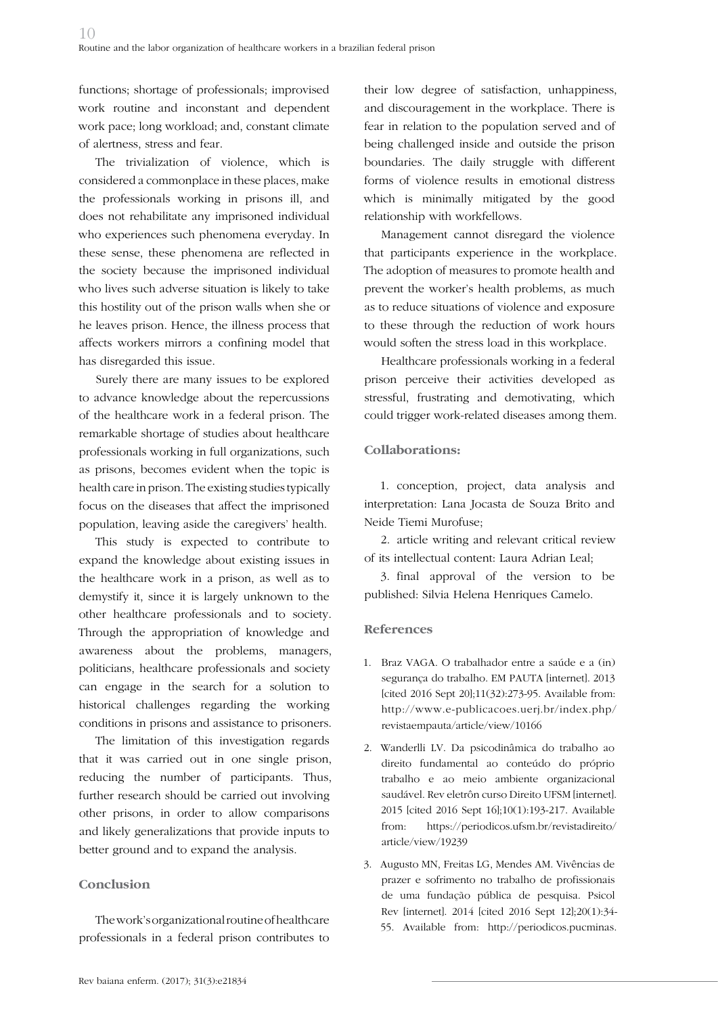functions; shortage of professionals; improvised work routine and inconstant and dependent work pace; long workload; and, constant climate of alertness, stress and fear.

The trivialization of violence, which is considered a commonplace in these places, make the professionals working in prisons ill, and does not rehabilitate any imprisoned individual who experiences such phenomena everyday. In these sense, these phenomena are reflected in the society because the imprisoned individual who lives such adverse situation is likely to take this hostility out of the prison walls when she or he leaves prison. Hence, the illness process that affects workers mirrors a confining model that has disregarded this issue.

Surely there are many issues to be explored to advance knowledge about the repercussions of the healthcare work in a federal prison. The remarkable shortage of studies about healthcare professionals working in full organizations, such as prisons, becomes evident when the topic is health care in prison. The existing studies typically focus on the diseases that affect the imprisoned population, leaving aside the caregivers' health.

This study is expected to contribute to expand the knowledge about existing issues in the healthcare work in a prison, as well as to demystify it, since it is largely unknown to the other healthcare professionals and to society. Through the appropriation of knowledge and awareness about the problems, managers, politicians, healthcare professionals and society can engage in the search for a solution to historical challenges regarding the working conditions in prisons and assistance to prisoners.

The limitation of this investigation regards that it was carried out in one single prison, reducing the number of participants. Thus, further research should be carried out involving other prisons, in order to allow comparisons and likely generalizations that provide inputs to better ground and to expand the analysis.

## **Conclusion**

The work's organizational routine of healthcare professionals in a federal prison contributes to their low degree of satisfaction, unhappiness, and discouragement in the workplace. There is fear in relation to the population served and of being challenged inside and outside the prison boundaries. The daily struggle with different forms of violence results in emotional distress which is minimally mitigated by the good relationship with workfellows.

Management cannot disregard the violence that participants experience in the workplace. The adoption of measures to promote health and prevent the worker's health problems, as much as to reduce situations of violence and exposure to these through the reduction of work hours would soften the stress load in this workplace.

Healthcare professionals working in a federal prison perceive their activities developed as stressful, frustrating and demotivating, which could trigger work-related diseases among them.

## **Collaborations:**

1. conception, project, data analysis and interpretation: Lana Jocasta de Souza Brito and Neide Tiemi Murofuse;

2. article writing and relevant critical review of its intellectual content: Laura Adrian Leal;

3. final approval of the version to be published: Silvia Helena Henriques Camelo.

### **References**

- 1. Braz VAGA. O trabalhador entre a saúde e a (in) segurança do trabalho. EM PAUTA [internet]. 2013 [cited 2016 Sept 20];11(32):273-95. Available from: http://www.e-publicacoes.uerj.br/index.php/ revistaempauta/article/view/10166
- 2. Wanderlli LV. Da psicodinâmica do trabalho ao direito fundamental ao conteúdo do próprio trabalho e ao meio ambiente organizacional saudável. Rev eletrôn curso Direito UFSM [internet]. 2015 [cited 2016 Sept 16];10(1):193-217. Available from: https://periodicos.ufsm.br/revistadireito/ article/view/19239
- 3. Augusto MN, Freitas LG, Mendes AM. Vivências de prazer e sofrimento no trabalho de profissionais de uma fundação pública de pesquisa. Psicol Rev [internet]. 2014 [cited 2016 Sept 12];20(1):34- 55. Available from: http://periodicos.pucminas.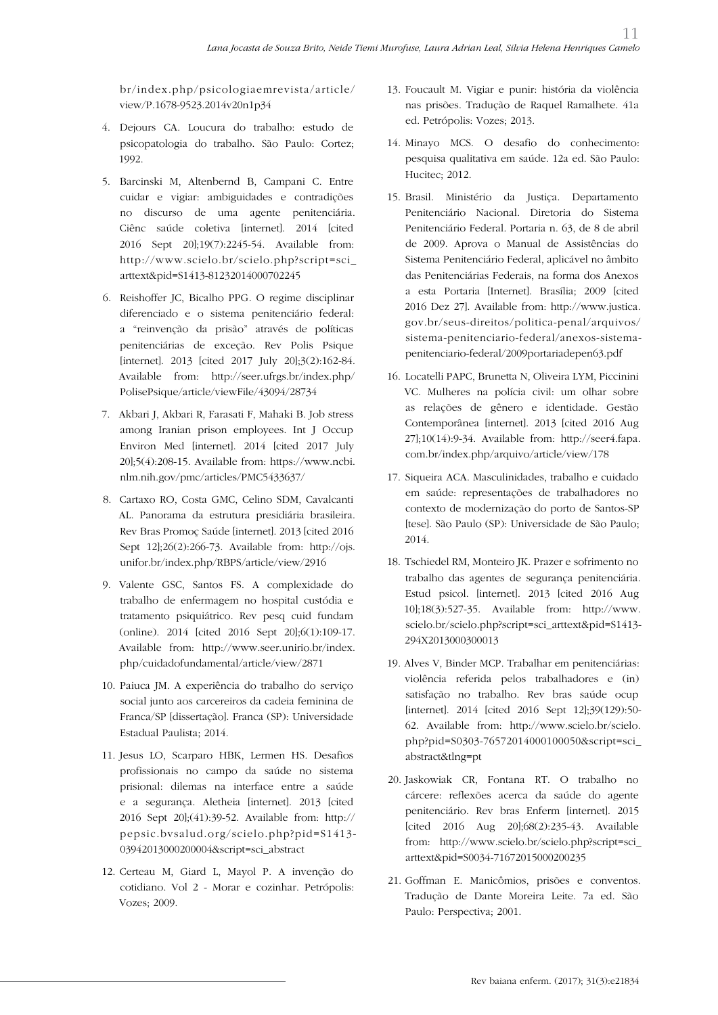br/index.php/psicologiaemrevista/article/ view/P.1678-9523.2014v20n1p34

- 4. Dejours CA. Loucura do trabalho: estudo de psicopatologia do trabalho. São Paulo: Cortez; 1992.
- 5. Barcinski M, Altenbernd B, Campani C. Entre cuidar e vigiar: ambiguidades e contradições no discurso de uma agente penitenciária. Ciênc saúde coletiva [internet]. 2014 [cited 2016 Sept 20];19(7):2245-54. Available from: http://www.scielo.br/scielo.php?script=sci\_ arttext&pid=S1413-81232014000702245
- 6. Reishoffer JC, Bicalho PPG. O regime disciplinar diferenciado e o sistema penitenciário federal: a "reinvenção da prisão" através de políticas penitenciárias de exceção. Rev Polis Psique [internet]. 2013 [cited 2017 July 20];3(2):162-84. Available from: http://seer.ufrgs.br/index.php/ PolisePsique/article/viewFile/43094/28734
- 7. Akbari J, Akbari R, Farasati F, Mahaki B. Job stress among Iranian prison employees. Int J Occup Environ Med [internet]. 2014 [cited 2017 July 20];5(4):208-15. Available from: https://www.ncbi. nlm.nih.gov/pmc/articles/PMC5433637/
- 8. Cartaxo RO, Costa GMC, Celino SDM, Cavalcanti AL. Panorama da estrutura presidiária brasileira. Rev Bras Promoç Saúde [internet]. 2013 [cited 2016 Sept 12];26(2):266-73. Available from: http://ojs. unifor.br/index.php/RBPS/article/view/2916
- 9. Valente GSC, Santos FS. A complexidade do trabalho de enfermagem no hospital custódia e tratamento psiquiátrico. Rev pesq cuid fundam (online). 2014 [cited 2016 Sept 20];6(1):109-17. Available from: http://www.seer.unirio.br/index. php/cuidadofundamental/article/view/2871
- 10. Paiuca JM. A experiência do trabalho do serviço social junto aos carcereiros da cadeia feminina de Franca/SP [dissertação]. Franca (SP): Universidade Estadual Paulista; 2014.
- 11. Jesus LO, Scarparo HBK, Lermen HS. Desafios profissionais no campo da saúde no sistema prisional: dilemas na interface entre a saúde e a segurança. Aletheia [internet]. 2013 [cited 2016 Sept 20];(41):39-52. Available from: http:// pepsic.bvsalud.org/scielo.php?pid=S1413- 03942013000200004&script=sci\_abstract
- 12. Certeau M, Giard L, Mayol P. A invenção do cotidiano. Vol 2 - Morar e cozinhar. Petrópolis: Vozes; 2009.

13. Foucault M. Vigiar e punir: história da violência nas prisões. Tradução de Raquel Ramalhete. 41a ed. Petrópolis: Vozes; 2013.

11

- 14. Minayo MCS. O desafio do conhecimento: pesquisa qualitativa em saúde. 12a ed. São Paulo: Hucitec; 2012.
- 15. Brasil. Ministério da Justiça. Departamento Penitenciário Nacional. Diretoria do Sistema Penitenciário Federal. Portaria n. 63, de 8 de abril de 2009. Aprova o Manual de Assistências do Sistema Penitenciário Federal, aplicável no âmbito das Penitenciárias Federais, na forma dos Anexos a esta Portaria [Internet]. Brasília; 2009 [cited 2016 Dez 27]. Available from: http://www.justica. gov.br/seus-direitos/politica-penal/arquivos/ sistema-penitenciario-federal/anexos-sistemapenitenciario-federal/2009portariadepen63.pdf
- 16. Locatelli PAPC, Brunetta N, Oliveira LYM, Piccinini VC. Mulheres na polícia civil: um olhar sobre as relações de gênero e identidade. Gestão Contemporânea [internet]. 2013 [cited 2016 Aug 27];10(14):9-34. Available from: http://seer4.fapa. com.br/index.php/arquivo/article/view/178
- 17. Siqueira ACA. Masculinidades, trabalho e cuidado em saúde: representações de trabalhadores no contexto de modernização do porto de Santos-SP [tese]. São Paulo (SP): Universidade de São Paulo; 2014.
- 18. Tschiedel RM, Monteiro JK. Prazer e sofrimento no trabalho das agentes de segurança penitenciária. Estud psicol. [internet]. 2013 [cited 2016 Aug 10];18(3):527-35. Available from: http://www. scielo.br/scielo.php?script=sci\_arttext&pid=S1413- 294X2013000300013
- 19. Alves V, Binder MCP. Trabalhar em penitenciárias: violência referida pelos trabalhadores e (in) satisfação no trabalho. Rev bras saúde ocup [internet]. 2014 [cited 2016 Sept 12];39(129):50- 62. Available from: http://www.scielo.br/scielo. php?pid=S0303-76572014000100050&script=sci\_ abstract&tlng=pt
- 20. Jaskowiak CR, Fontana RT. O trabalho no cárcere: reflexões acerca da saúde do agente penitenciário. Rev bras Enferm [internet]. 2015 [cited 2016 Aug 20];68(2):235-43. Available from: http://www.scielo.br/scielo.php?script=sci\_ arttext&pid=S0034-71672015000200235
- 21. Goffman E. Manicômios, prisões e conventos. Tradução de Dante Moreira Leite. 7a ed. São Paulo: Perspectiva; 2001.